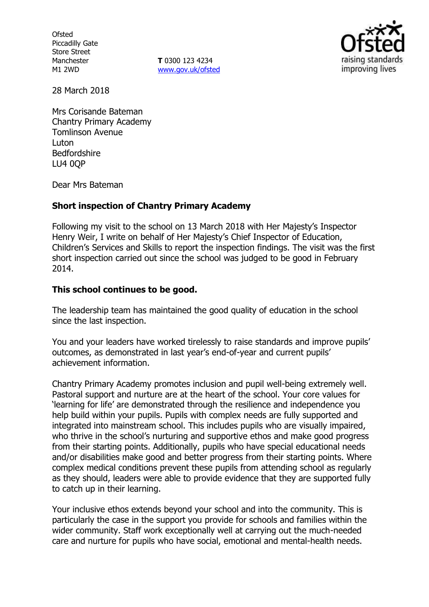**Ofsted** Piccadilly Gate Store Street Manchester M1 2WD

**T** 0300 123 4234 www.gov.uk/ofsted



28 March 2018

Mrs Corisande Bateman Chantry Primary Academy Tomlinson Avenue Luton Bedfordshire LU4 0QP

Dear Mrs Bateman

## **Short inspection of Chantry Primary Academy**

Following my visit to the school on 13 March 2018 with Her Majesty's Inspector Henry Weir, I write on behalf of Her Majesty's Chief Inspector of Education, Children's Services and Skills to report the inspection findings. The visit was the first short inspection carried out since the school was judged to be good in February 2014.

## **This school continues to be good.**

The leadership team has maintained the good quality of education in the school since the last inspection.

You and your leaders have worked tirelessly to raise standards and improve pupils' outcomes, as demonstrated in last year's end-of-year and current pupils' achievement information.

Chantry Primary Academy promotes inclusion and pupil well-being extremely well. Pastoral support and nurture are at the heart of the school. Your core values for 'learning for life' are demonstrated through the resilience and independence you help build within your pupils. Pupils with complex needs are fully supported and integrated into mainstream school. This includes pupils who are visually impaired, who thrive in the school's nurturing and supportive ethos and make good progress from their starting points. Additionally, pupils who have special educational needs and/or disabilities make good and better progress from their starting points. Where complex medical conditions prevent these pupils from attending school as regularly as they should, leaders were able to provide evidence that they are supported fully to catch up in their learning.

Your inclusive ethos extends beyond your school and into the community. This is particularly the case in the support you provide for schools and families within the wider community. Staff work exceptionally well at carrying out the much-needed care and nurture for pupils who have social, emotional and mental-health needs.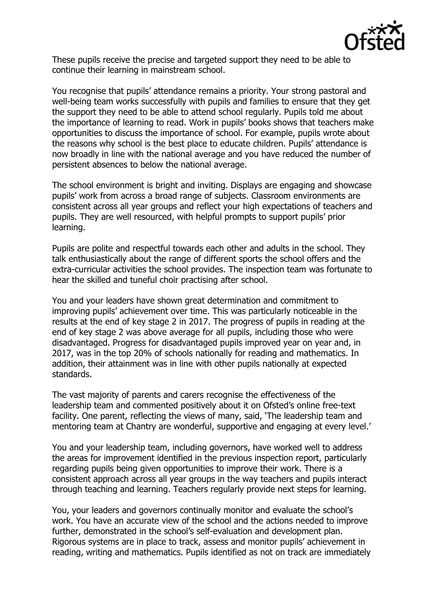

These pupils receive the precise and targeted support they need to be able to continue their learning in mainstream school.

You recognise that pupils' attendance remains a priority. Your strong pastoral and well-being team works successfully with pupils and families to ensure that they get the support they need to be able to attend school regularly. Pupils told me about the importance of learning to read. Work in pupils' books shows that teachers make opportunities to discuss the importance of school. For example, pupils wrote about the reasons why school is the best place to educate children. Pupils' attendance is now broadly in line with the national average and you have reduced the number of persistent absences to below the national average.

The school environment is bright and inviting. Displays are engaging and showcase pupils' work from across a broad range of subjects. Classroom environments are consistent across all year groups and reflect your high expectations of teachers and pupils. They are well resourced, with helpful prompts to support pupils' prior learning.

Pupils are polite and respectful towards each other and adults in the school. They talk enthusiastically about the range of different sports the school offers and the extra-curricular activities the school provides. The inspection team was fortunate to hear the skilled and tuneful choir practising after school.

You and your leaders have shown great determination and commitment to improving pupils' achievement over time. This was particularly noticeable in the results at the end of key stage 2 in 2017. The progress of pupils in reading at the end of key stage 2 was above average for all pupils, including those who were disadvantaged. Progress for disadvantaged pupils improved year on year and, in 2017, was in the top 20% of schools nationally for reading and mathematics. In addition, their attainment was in line with other pupils nationally at expected standards.

The vast majority of parents and carers recognise the effectiveness of the leadership team and commented positively about it on Ofsted's online free-text facility. One parent, reflecting the views of many, said, 'The leadership team and mentoring team at Chantry are wonderful, supportive and engaging at every level.'

You and your leadership team, including governors, have worked well to address the areas for improvement identified in the previous inspection report, particularly regarding pupils being given opportunities to improve their work. There is a consistent approach across all year groups in the way teachers and pupils interact through teaching and learning. Teachers regularly provide next steps for learning.

You, your leaders and governors continually monitor and evaluate the school's work. You have an accurate view of the school and the actions needed to improve further, demonstrated in the school's self-evaluation and development plan. Rigorous systems are in place to track, assess and monitor pupils' achievement in reading, writing and mathematics. Pupils identified as not on track are immediately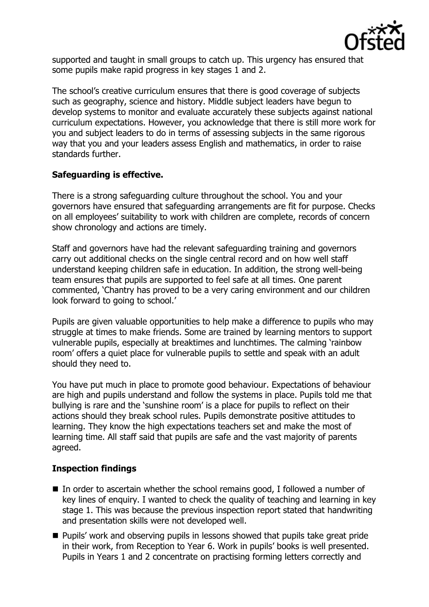

supported and taught in small groups to catch up. This urgency has ensured that some pupils make rapid progress in key stages 1 and 2.

The school's creative curriculum ensures that there is good coverage of subjects such as geography, science and history. Middle subject leaders have begun to develop systems to monitor and evaluate accurately these subjects against national curriculum expectations. However, you acknowledge that there is still more work for you and subject leaders to do in terms of assessing subjects in the same rigorous way that you and your leaders assess English and mathematics, in order to raise standards further.

# **Safeguarding is effective.**

There is a strong safeguarding culture throughout the school. You and your governors have ensured that safeguarding arrangements are fit for purpose. Checks on all employees' suitability to work with children are complete, records of concern show chronology and actions are timely.

Staff and governors have had the relevant safeguarding training and governors carry out additional checks on the single central record and on how well staff understand keeping children safe in education. In addition, the strong well-being team ensures that pupils are supported to feel safe at all times. One parent commented, 'Chantry has proved to be a very caring environment and our children look forward to going to school.'

Pupils are given valuable opportunities to help make a difference to pupils who may struggle at times to make friends. Some are trained by learning mentors to support vulnerable pupils, especially at breaktimes and lunchtimes. The calming 'rainbow room' offers a quiet place for vulnerable pupils to settle and speak with an adult should they need to.

You have put much in place to promote good behaviour. Expectations of behaviour are high and pupils understand and follow the systems in place. Pupils told me that bullying is rare and the 'sunshine room' is a place for pupils to reflect on their actions should they break school rules. Pupils demonstrate positive attitudes to learning. They know the high expectations teachers set and make the most of learning time. All staff said that pupils are safe and the vast majority of parents agreed.

# **Inspection findings**

- In order to ascertain whether the school remains good, I followed a number of key lines of enquiry. I wanted to check the quality of teaching and learning in key stage 1. This was because the previous inspection report stated that handwriting and presentation skills were not developed well.
- **Pupils' work and observing pupils in lessons showed that pupils take great pride** in their work, from Reception to Year 6. Work in pupils' books is well presented. Pupils in Years 1 and 2 concentrate on practising forming letters correctly and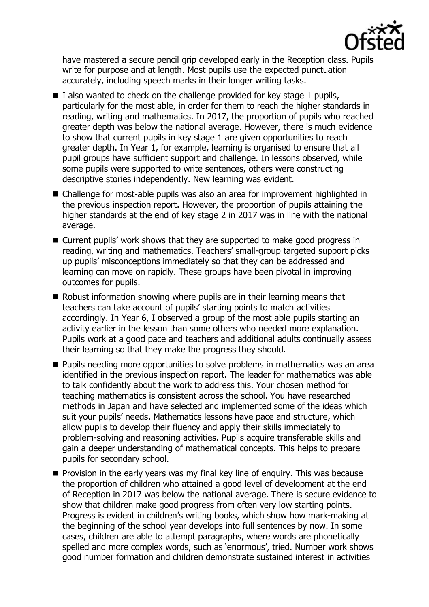

have mastered a secure pencil grip developed early in the Reception class. Pupils write for purpose and at length. Most pupils use the expected punctuation accurately, including speech marks in their longer writing tasks.

- $\blacksquare$  I also wanted to check on the challenge provided for key stage 1 pupils, particularly for the most able, in order for them to reach the higher standards in reading, writing and mathematics. In 2017, the proportion of pupils who reached greater depth was below the national average. However, there is much evidence to show that current pupils in key stage 1 are given opportunities to reach greater depth. In Year 1, for example, learning is organised to ensure that all pupil groups have sufficient support and challenge. In lessons observed, while some pupils were supported to write sentences, others were constructing descriptive stories independently. New learning was evident.
- Challenge for most-able pupils was also an area for improvement highlighted in the previous inspection report. However, the proportion of pupils attaining the higher standards at the end of key stage 2 in 2017 was in line with the national average.
- Current pupils' work shows that they are supported to make good progress in reading, writing and mathematics. Teachers' small-group targeted support picks up pupils' misconceptions immediately so that they can be addressed and learning can move on rapidly. These groups have been pivotal in improving outcomes for pupils.
- Robust information showing where pupils are in their learning means that teachers can take account of pupils' starting points to match activities accordingly. In Year 6, I observed a group of the most able pupils starting an activity earlier in the lesson than some others who needed more explanation. Pupils work at a good pace and teachers and additional adults continually assess their learning so that they make the progress they should.
- **Pupils needing more opportunities to solve problems in mathematics was an area** identified in the previous inspection report. The leader for mathematics was able to talk confidently about the work to address this. Your chosen method for teaching mathematics is consistent across the school. You have researched methods in Japan and have selected and implemented some of the ideas which suit your pupils' needs. Mathematics lessons have pace and structure, which allow pupils to develop their fluency and apply their skills immediately to problem-solving and reasoning activities. Pupils acquire transferable skills and gain a deeper understanding of mathematical concepts. This helps to prepare pupils for secondary school.
- $\blacksquare$  Provision in the early years was my final key line of enquiry. This was because the proportion of children who attained a good level of development at the end of Reception in 2017 was below the national average. There is secure evidence to show that children make good progress from often very low starting points. Progress is evident in children's writing books, which show how mark-making at the beginning of the school year develops into full sentences by now. In some cases, children are able to attempt paragraphs, where words are phonetically spelled and more complex words, such as 'enormous', tried. Number work shows good number formation and children demonstrate sustained interest in activities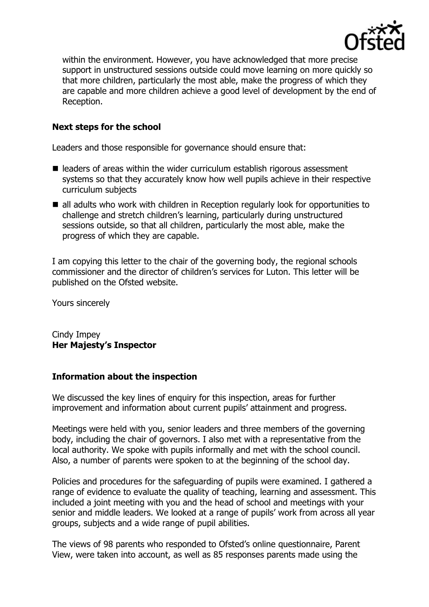

within the environment. However, you have acknowledged that more precise support in unstructured sessions outside could move learning on more quickly so that more children, particularly the most able, make the progress of which they are capable and more children achieve a good level of development by the end of Reception.

## **Next steps for the school**

Leaders and those responsible for governance should ensure that:

- leaders of areas within the wider curriculum establish rigorous assessment systems so that they accurately know how well pupils achieve in their respective curriculum subjects
- all adults who work with children in Reception regularly look for opportunities to challenge and stretch children's learning, particularly during unstructured sessions outside, so that all children, particularly the most able, make the progress of which they are capable.

I am copying this letter to the chair of the governing body, the regional schools commissioner and the director of children's services for Luton. This letter will be published on the Ofsted website.

Yours sincerely

Cindy Impey **Her Majesty's Inspector**

## **Information about the inspection**

We discussed the key lines of enquiry for this inspection, areas for further improvement and information about current pupils' attainment and progress.

Meetings were held with you, senior leaders and three members of the governing body, including the chair of governors. I also met with a representative from the local authority. We spoke with pupils informally and met with the school council. Also, a number of parents were spoken to at the beginning of the school day.

Policies and procedures for the safeguarding of pupils were examined. I gathered a range of evidence to evaluate the quality of teaching, learning and assessment. This included a joint meeting with you and the head of school and meetings with your senior and middle leaders. We looked at a range of pupils' work from across all year groups, subjects and a wide range of pupil abilities.

The views of 98 parents who responded to Ofsted's online questionnaire, Parent View, were taken into account, as well as 85 responses parents made using the